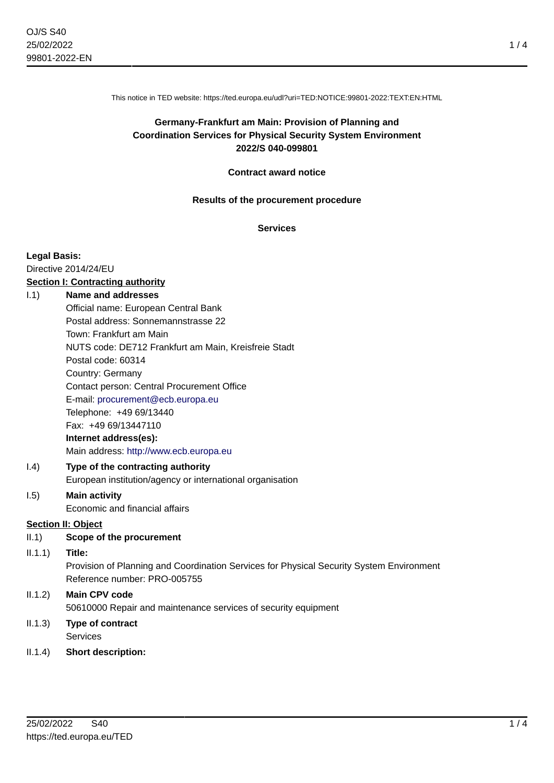This notice in TED website: https://ted.europa.eu/udl?uri=TED:NOTICE:99801-2022:TEXT:EN:HTML

# **Germany-Frankfurt am Main: Provision of Planning and Coordination Services for Physical Security System Environment 2022/S 040-099801**

#### **Contract award notice**

#### **Results of the procurement procedure**

## **Services**

#### **Legal Basis:**

Directive 2014/24/EU **Section I: Contracting authority**

# I.1) **Name and addresses**

Official name: European Central Bank Postal address: Sonnemannstrasse 22 Town: Frankfurt am Main NUTS code: DE712 Frankfurt am Main, Kreisfreie Stadt Postal code: 60314 Country: Germany Contact person: Central Procurement Office E-mail: [procurement@ecb.europa.eu](mailto:procurement@ecb.europa.eu) Telephone: +49 69/13440 Fax: +49 69/13447110 **Internet address(es):** Main address:<http://www.ecb.europa.eu>

## I.4) **Type of the contracting authority** European institution/agency or international organisation

## I.5) **Main activity** Economic and financial affairs

# **Section II: Object**

II.1) **Scope of the procurement**

# II.1.1) **Title:**

Provision of Planning and Coordination Services for Physical Security System Environment Reference number: PRO-005755

# II.1.2) **Main CPV code** 50610000 Repair and maintenance services of security equipment

# II.1.3) **Type of contract** Services

# II.1.4) **Short description:**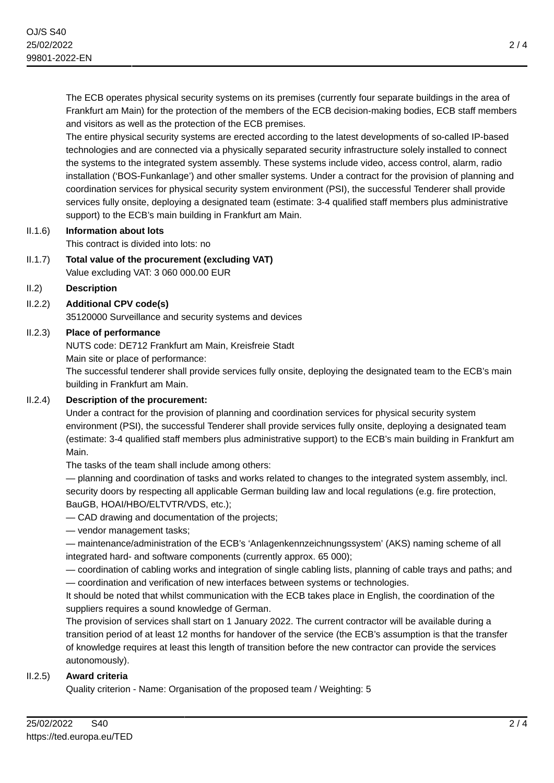The ECB operates physical security systems on its premises (currently four separate buildings in the area of Frankfurt am Main) for the protection of the members of the ECB decision-making bodies, ECB staff members and visitors as well as the protection of the ECB premises.

The entire physical security systems are erected according to the latest developments of so-called IP-based technologies and are connected via a physically separated security infrastructure solely installed to connect the systems to the integrated system assembly. These systems include video, access control, alarm, radio installation ('BOS-Funkanlage') and other smaller systems. Under a contract for the provision of planning and coordination services for physical security system environment (PSI), the successful Tenderer shall provide services fully onsite, deploying a designated team (estimate: 3-4 qualified staff members plus administrative support) to the ECB's main building in Frankfurt am Main.

# II.1.6) **Information about lots**

This contract is divided into lots: no

- II.1.7) **Total value of the procurement (excluding VAT)** Value excluding VAT: 3 060 000.00 EUR
- II.2) **Description**
- II.2.2) **Additional CPV code(s)**

35120000 Surveillance and security systems and devices

## II.2.3) **Place of performance**

NUTS code: DE712 Frankfurt am Main, Kreisfreie Stadt

Main site or place of performance:

The successful tenderer shall provide services fully onsite, deploying the designated team to the ECB's main building in Frankfurt am Main.

# II.2.4) **Description of the procurement:**

Under a contract for the provision of planning and coordination services for physical security system environment (PSI), the successful Tenderer shall provide services fully onsite, deploying a designated team (estimate: 3-4 qualified staff members plus administrative support) to the ECB's main building in Frankfurt am Main.

The tasks of the team shall include among others:

— planning and coordination of tasks and works related to changes to the integrated system assembly, incl. security doors by respecting all applicable German building law and local regulations (e.g. fire protection, BauGB, HOAI/HBO/ELTVTR/VDS, etc.);

- CAD drawing and documentation of the projects;
- vendor management tasks;

— maintenance/administration of the ECB's 'Anlagenkennzeichnungssystem' (AKS) naming scheme of all integrated hard- and software components (currently approx. 65 000);

— coordination of cabling works and integration of single cabling lists, planning of cable trays and paths; and

— coordination and verification of new interfaces between systems or technologies.

It should be noted that whilst communication with the ECB takes place in English, the coordination of the suppliers requires a sound knowledge of German.

The provision of services shall start on 1 January 2022. The current contractor will be available during a transition period of at least 12 months for handover of the service (the ECB's assumption is that the transfer of knowledge requires at least this length of transition before the new contractor can provide the services autonomously).

## II.2.5) **Award criteria**

Quality criterion - Name: Organisation of the proposed team / Weighting: 5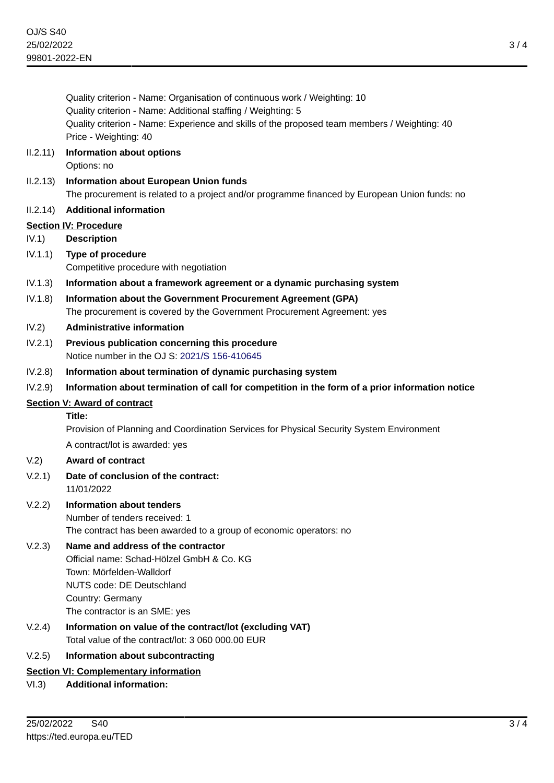|          | Quality criterion - Name: Organisation of continuous work / Weighting: 10<br>Quality criterion - Name: Additional staffing / Weighting: 5      |
|----------|------------------------------------------------------------------------------------------------------------------------------------------------|
|          | Quality criterion - Name: Experience and skills of the proposed team members / Weighting: 40<br>Price - Weighting: 40                          |
| 11.2.11) | <b>Information about options</b><br>Options: no                                                                                                |
| II.2.13) | <b>Information about European Union funds</b><br>The procurement is related to a project and/or programme financed by European Union funds: no |
| II.2.14) | <b>Additional information</b>                                                                                                                  |
|          | <b>Section IV: Procedure</b>                                                                                                                   |
| IV.1)    | <b>Description</b>                                                                                                                             |
| IV.1.1)  | Type of procedure<br>Competitive procedure with negotiation                                                                                    |
| IV.1.3)  | Information about a framework agreement or a dynamic purchasing system                                                                         |
| IV.1.8)  | Information about the Government Procurement Agreement (GPA)                                                                                   |
|          | The procurement is covered by the Government Procurement Agreement: yes                                                                        |
| IV.2)    | <b>Administrative information</b>                                                                                                              |
| IV.2.1)  | Previous publication concerning this procedure<br>Notice number in the OJ S: 2021/S 156-410645                                                 |
| IV.2.8)  | Information about termination of dynamic purchasing system                                                                                     |
| IV.2.9)  | Information about termination of call for competition in the form of a prior information notice                                                |
|          | <b>Section V: Award of contract</b>                                                                                                            |
|          | Title:                                                                                                                                         |
|          | Provision of Planning and Coordination Services for Physical Security System Environment                                                       |
|          | A contract/lot is awarded: yes                                                                                                                 |
| V.2)     | <b>Award of contract</b>                                                                                                                       |
| V.2.1)   | Date of conclusion of the contract:<br>11/01/2022                                                                                              |
| V.2.2)   | <b>Information about tenders</b>                                                                                                               |
|          | Number of tenders received: 1                                                                                                                  |
|          | The contract has been awarded to a group of economic operators: no                                                                             |
| V.2.3)   | Name and address of the contractor<br>Official name: Schad-Hölzel GmbH & Co. KG<br>Town: Mörfelden-Walldorf                                    |
|          | NUTS code: DE Deutschland                                                                                                                      |
|          | Country: Germany                                                                                                                               |
|          | The contractor is an SME: yes                                                                                                                  |
| V.2.4)   | Information on value of the contract/lot (excluding VAT)<br>Total value of the contract/lot: 3 060 000.00 EUR                                  |
| V.2.5)   | Information about subcontracting                                                                                                               |

VI.3) **Additional information:**